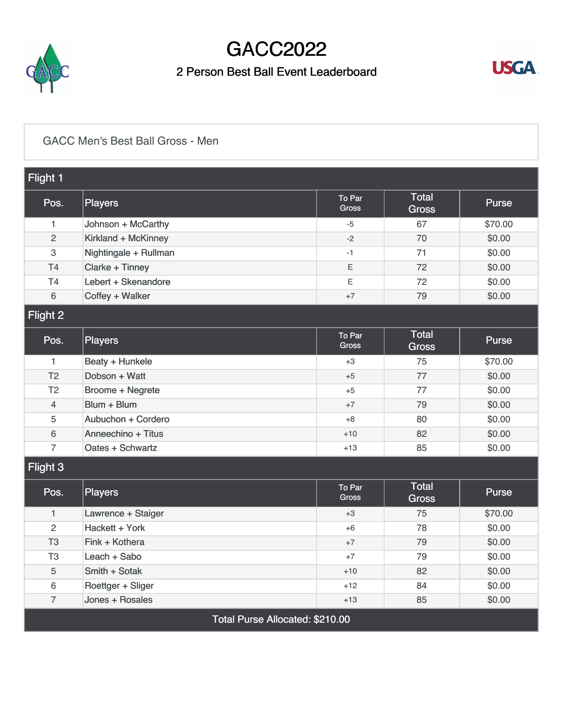

# GACC2022

### 2 Person Best Ball Event Leaderboard



#### [GACC Men's Best Ball Gross - Men](https://static.golfgenius.com/v2tournaments/8572339142988443726?called_from=&round_index=5)

| Flight 1                        |                       |                        |                              |              |  |  |
|---------------------------------|-----------------------|------------------------|------------------------------|--------------|--|--|
| Pos.                            | Players               | To Par<br><b>Gross</b> | <b>Total</b><br><b>Gross</b> | Purse        |  |  |
| 1                               | Johnson + McCarthy    | $-5$                   | 67                           | \$70.00      |  |  |
| $\overline{c}$                  | Kirkland + McKinney   | $-2$                   | 70                           | \$0.00       |  |  |
| 3                               | Nightingale + Rullman | $-1$                   | 71                           | \$0.00       |  |  |
| T <sub>4</sub>                  | Clarke + Tinney       | $\mathsf E$            | 72                           | \$0.00       |  |  |
| T <sub>4</sub>                  | Lebert + Skenandore   | E                      | 72                           | \$0.00       |  |  |
| 6                               | Coffey + Walker       | $+7$                   | 79                           | \$0.00       |  |  |
| Flight 2                        |                       |                        |                              |              |  |  |
| Pos.                            | Players               | To Par<br><b>Gross</b> | <b>Total</b><br><b>Gross</b> | <b>Purse</b> |  |  |
| $\mathbf{1}$                    | Beaty + Hunkele       | $+3$                   | 75                           | \$70.00      |  |  |
| T <sub>2</sub>                  | Dobson + Watt         | $+5$                   | 77                           | \$0.00       |  |  |
| T <sub>2</sub>                  | Broome + Negrete      | $+5$                   | 77                           | \$0.00       |  |  |
| $\overline{4}$                  | Blum + Blum           | $+7$                   | 79                           | \$0.00       |  |  |
| 5                               | Aubuchon + Cordero    | $+8$                   | 80                           | \$0.00       |  |  |
| 6                               | Anneechino + Titus    | $+10$                  | 82                           | \$0.00       |  |  |
| $\overline{7}$                  | Oates + Schwartz      | $+13$                  | 85                           | \$0.00       |  |  |
| Flight 3                        |                       |                        |                              |              |  |  |
| Pos.                            | Players               | To Par<br><b>Gross</b> | <b>Total</b><br><b>Gross</b> | <b>Purse</b> |  |  |
| $\mathbf{1}$                    | Lawrence + Staiger    | $+3$                   | 75                           | \$70.00      |  |  |
| $\overline{2}$                  | Hackett + York        | $+6$                   | 78                           | \$0.00       |  |  |
| T <sub>3</sub>                  | Fink + Kothera        | $+7$                   | 79                           | \$0.00       |  |  |
| T <sub>3</sub>                  | Leach + Sabo          | $+7$                   | 79                           | \$0.00       |  |  |
| 5                               | Smith + Sotak         | $+10$                  | 82                           | \$0.00       |  |  |
| 6                               | Roettger + Sliger     | $+12$                  | 84                           | \$0.00       |  |  |
| $\overline{7}$                  | Jones + Rosales       | $+13$                  | 85                           | \$0.00       |  |  |
| Total Purse Allocated: \$210.00 |                       |                        |                              |              |  |  |